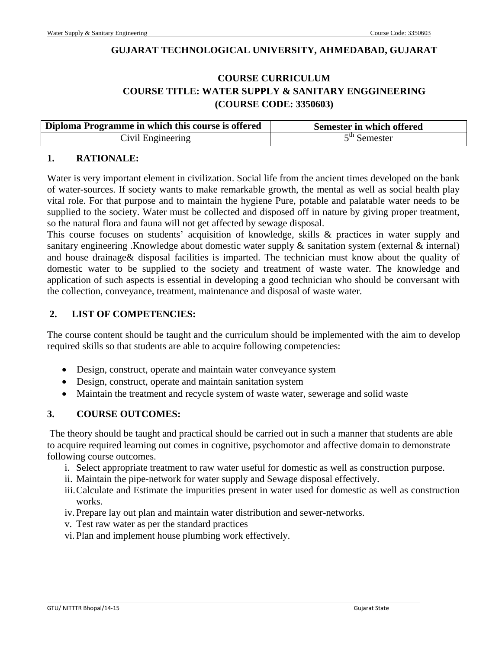### **GUJARAT TECHNOLOGICAL UNIVERSITY, AHMEDABAD, GUJARAT**

# **COURSE CURRICULUM COURSE TITLE: WATER SUPPLY & SANITARY ENGGINEERING (COURSE CODE: 3350603)**

| Diploma Programme in which this course is offered | Semester in which offered |
|---------------------------------------------------|---------------------------|
| Civil Engineering                                 | $5th$ Semester            |

### **1. RATIONALE:**

Water is very important element in civilization. Social life from the ancient times developed on the bank of water-sources. If society wants to make remarkable growth, the mental as well as social health play vital role. For that purpose and to maintain the hygiene Pure, potable and palatable water needs to be supplied to the society. Water must be collected and disposed off in nature by giving proper treatment, so the natural flora and fauna will not get affected by sewage disposal.

This course focuses on students' acquisition of knowledge, skills & practices in water supply and sanitary engineering .Knowledge about domestic water supply & sanitation system (external & internal) and house drainage& disposal facilities is imparted. The technician must know about the quality of domestic water to be supplied to the society and treatment of waste water. The knowledge and application of such aspects is essential in developing a good technician who should be conversant with the collection, conveyance, treatment, maintenance and disposal of waste water.

### **2. LIST OF COMPETENCIES:**

The course content should be taught and the curriculum should be implemented with the aim to develop required skills so that students are able to acquire following competencies:

- Design, construct, operate and maintain water conveyance system
- Design, construct, operate and maintain sanitation system
- Maintain the treatment and recycle system of waste water, sewerage and solid waste

### **3. COURSE OUTCOMES:**

 The theory should be taught and practical should be carried out in such a manner that students are able to acquire required learning out comes in cognitive, psychomotor and affective domain to demonstrate following course outcomes.

- i. Select appropriate treatment to raw water useful for domestic as well as construction purpose.
- ii. Maintain the pipe-network for water supply and Sewage disposal effectively.
- iii.Calculate and Estimate the impurities present in water used for domestic as well as construction works.
- iv. Prepare lay out plan and maintain water distribution and sewer-networks.
- v. Test raw water as per the standard practices
- vi. Plan and implement house plumbing work effectively.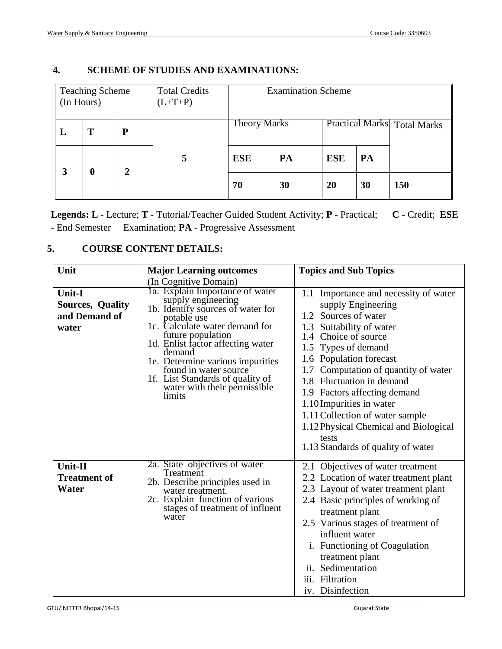| (In Hours) | <b>Teaching Scheme</b> |   | <b>Total Credits</b><br>$(L+T+P)$ | <b>Examination Scheme</b> |    |                                    |    |     |  |
|------------|------------------------|---|-----------------------------------|---------------------------|----|------------------------------------|----|-----|--|
| $\bf{L}$   | T                      | P |                                   | <b>Theory Marks</b>       |    | <b>Practical Marks</b> Total Marks |    |     |  |
| 3          | 0                      | 2 | 5                                 | <b>ESE</b>                | PA | <b>ESE</b>                         | PA |     |  |
|            |                        |   |                                   | 70                        | 30 | 20                                 | 30 | 150 |  |

### **4. SCHEME OF STUDIES AND EXAMINATIONS:**

**Legends: L -** Lecture; **T -** Tutorial/Teacher Guided Student Activity; **P -** Practical; **C -** Credit; **ESE** - End Semester Examination; **PA** - Progressive Assessment

## **5. COURSE CONTENT DETAILS:**

| Unit                                                               | <b>Major Learning outcomes</b>                                                                                                                                                                                                                                                                                                                              | <b>Topics and Sub Topics</b>                                                                                                                                                                                                                                                                                                                                                                                                                         |
|--------------------------------------------------------------------|-------------------------------------------------------------------------------------------------------------------------------------------------------------------------------------------------------------------------------------------------------------------------------------------------------------------------------------------------------------|------------------------------------------------------------------------------------------------------------------------------------------------------------------------------------------------------------------------------------------------------------------------------------------------------------------------------------------------------------------------------------------------------------------------------------------------------|
|                                                                    | (In Cognitive Domain)                                                                                                                                                                                                                                                                                                                                       |                                                                                                                                                                                                                                                                                                                                                                                                                                                      |
| <b>Unit-I</b><br><b>Sources, Quality</b><br>and Demand of<br>water | 1a. Explain Importance of water<br>supply engineering<br>1b. Identify sources of water for<br>potable use<br>1c. Calculate water demand for<br>future population<br>1d. Enlist factor affecting water<br>demand<br>1e. Determine various impurities<br>found in water source<br>1f. List Standards of quality of<br>water with their permissible.<br>limits | 1.1 Importance and necessity of water<br>supply Engineering<br>1.2 Sources of water<br>1.3 Suitability of water<br>1.4 Choice of source<br>Types of demand<br>1.5<br>1.6 Population forecast<br>Computation of quantity of water<br>1.8 Fluctuation in demand<br>1.9 Factors affecting demand<br>1.10 Impurities in water<br>1.11 Collection of water sample<br>1.12 Physical Chemical and Biological<br>tests<br>1.13 Standards of quality of water |
| Unit-II<br><b>Treatment of</b><br>Water                            | 2a. State objectives of water<br>Treatment<br>2b. Describe principles used in<br>water treatment.<br>2c. Explain function of various<br>stages of treatment of influent<br>water                                                                                                                                                                            | 2.1 Objectives of water treatment<br>2.2 Location of water treatment plant<br>2.3 Layout of water treatment plant<br>2.4 Basic principles of working of<br>treatment plant<br>2.5 Various stages of treatment of<br>influent water<br>i. Functioning of Coagulation<br>treatment plant<br>ii. Sedimentation<br>iii. Filtration<br>iv. Disinfection                                                                                                   |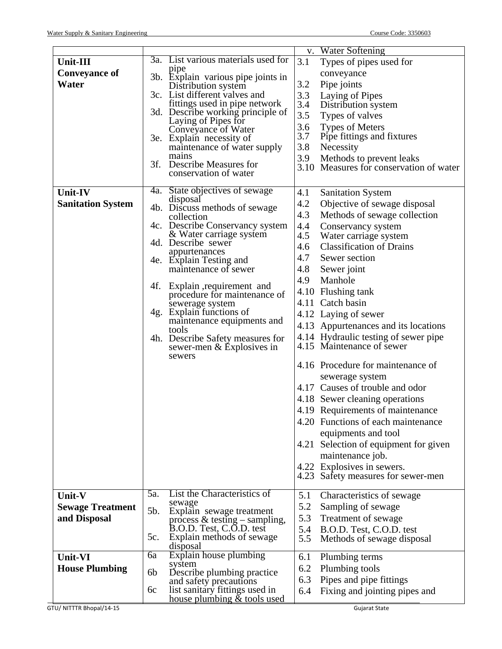|                          |                                     |                                                           |     | v. Water Softening                                 |
|--------------------------|-------------------------------------|-----------------------------------------------------------|-----|----------------------------------------------------|
| Unit-III                 |                                     | 3a. List various materials used for                       | 3.1 | Types of pipes used for                            |
| <b>Conveyance of</b>     | pipe                                | 3b. Explain various pipe joints in                        |     | conveyance                                         |
| Water                    |                                     | Distribution system                                       | 3.2 | Pipe joints                                        |
|                          |                                     | 3c. List different valves and                             | 3.3 | Laying of Pipes                                    |
|                          |                                     | fittings used in pipe network                             | 3.4 | Distribution system                                |
|                          |                                     | 3d. Describe working principle of<br>Laying of Pipes for  | 3.5 | Types of valves                                    |
|                          |                                     | Conveyance of Water                                       | 3.6 | <b>Types of Meters</b>                             |
|                          |                                     | 3e. Explain necessity of                                  | 3.7 | Pipe fittings and fixtures                         |
|                          |                                     | maintenance of water supply                               | 3.8 | Necessity                                          |
|                          | mains                               | 3f. Describe Measures for                                 | 3.9 | Methods to prevent leaks                           |
|                          |                                     | conservation of water                                     |     | 3.10 Measures for conservation of water            |
|                          |                                     |                                                           |     |                                                    |
| <b>Unit-IV</b>           |                                     | 4a. State objectives of sewage                            | 4.1 | <b>Sanitation System</b>                           |
| <b>Sanitation System</b> | disposal                            | 4b. Discuss methods of sewage                             | 4.2 | Objective of sewage disposal                       |
|                          | collection                          |                                                           | 4.3 | Methods of sewage collection                       |
|                          |                                     | 4c. Describe Conservancy system                           | 4.4 | Conservancy system                                 |
|                          |                                     | & Water carriage system                                   | 4.5 | Water carriage system                              |
|                          | 4d. Describe sewer<br>appurtenances |                                                           | 4.6 | <b>Classification of Drains</b>                    |
|                          | 4e. Explain Testing and             |                                                           | 4.7 | Sewer section                                      |
|                          |                                     | maintenance of sewer                                      | 4.8 | Sewer joint                                        |
|                          | 4f.                                 | Explain, requirement and                                  | 4.9 | Manhole                                            |
|                          |                                     | procedure for maintenance of                              |     | 4.10 Flushing tank                                 |
|                          |                                     | sewerage system                                           |     | 4.11 Catch basin                                   |
|                          |                                     | 4g. Explain functions of                                  |     | 4.12 Laying of sewer                               |
|                          | tools                               | maintenance equipments and                                |     | 4.13 Appurtenances and its locations               |
|                          |                                     | 4h. Describe Safety measures for                          |     | 4.14 Hydraulic testing of sewer pipe               |
|                          |                                     | sewer-men & Explosives in                                 |     | 4.15 Maintenance of sewer                          |
|                          | sewers                              |                                                           |     | 4.16 Procedure for maintenance of                  |
|                          |                                     |                                                           |     |                                                    |
|                          |                                     |                                                           |     | sewerage system<br>4.17 Causes of trouble and odor |
|                          |                                     |                                                           |     |                                                    |
|                          |                                     |                                                           |     | 4.18 Sewer cleaning operations                     |
|                          |                                     |                                                           |     | 4.19 Requirements of maintenance                   |
|                          |                                     |                                                           |     | 4.20 Functions of each maintenance                 |
|                          |                                     |                                                           |     | equipments and tool                                |
|                          |                                     |                                                           |     | 4.21 Selection of equipment for given              |
|                          |                                     |                                                           |     | maintenance job.                                   |
|                          |                                     |                                                           |     | 4.22 Explosives in sewers.                         |
|                          |                                     |                                                           |     | 4.23 Safety measures for sewer-men                 |
| Unit-V                   | 5a.                                 | List the Characteristics of                               | 5.1 | Characteristics of sewage                          |
| <b>Sewage Treatment</b>  | sewage                              |                                                           | 5.2 | Sampling of sewage                                 |
| and Disposal             | 5b.                                 | Explain sewage treatment                                  | 5.3 | Treatment of sewage                                |
|                          |                                     | process & testing – sampling,<br>B.O.D. Test, C.O.D. test | 5.4 | B.O.D. Test, C.O.D. test                           |
|                          | 5c.                                 | Explain methods of sewage                                 | 5.5 | Methods of sewage disposal                         |
| Unit-VI                  | disposal<br>6a                      | Explain house plumbing                                    | 6.1 | Plumbing terms                                     |
|                          | system                              |                                                           | 6.2 | Plumbing tools                                     |
| <b>House Plumbing</b>    | 6b                                  | Describe plumbing practice                                | 6.3 |                                                    |
|                          | 6c                                  | and safety precautions<br>list sanitary fittings used in  |     | Pipes and pipe fittings                            |
|                          |                                     | house plumbing $\&$ tools used                            | 6.4 | Fixing and jointing pipes and                      |
| GTU/ NITTTR Bhopal/14-15 |                                     |                                                           |     | <b>Gujarat State</b>                               |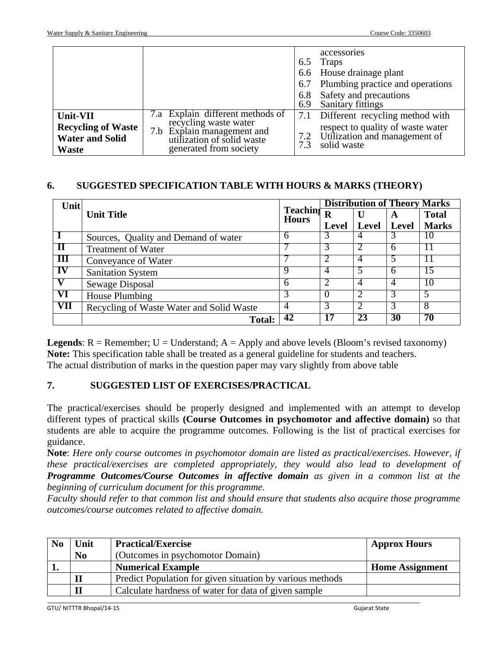|                                                                                 |                                                                                                                                                 | 6.5<br>6.7<br>6.8<br>6.9 | accessories<br><b>Traps</b><br>6.6 House drainage plant<br>Plumbing practice and operations<br>Safety and precautions<br>Sanitary fittings |
|---------------------------------------------------------------------------------|-------------------------------------------------------------------------------------------------------------------------------------------------|--------------------------|--------------------------------------------------------------------------------------------------------------------------------------------|
| Unit-VII<br><b>Recycling of Waste</b><br><b>Water and Solid</b><br><b>Waste</b> | 7.a Explain different methods of<br>recycling waste water<br>7.b Explain management and<br>utilization of solid waste<br>generated from society | 7.2<br>7.3               | Different recycling method with<br>respect to quality of waste water<br>Utilization and management of<br>solid waste                       |

### **6. SUGGESTED SPECIFICATION TABLE WITH HOURS & MARKS (THEORY)**

| Unit       | <b>Teaching</b><br><b>Unit Title</b>     |              | <b>Distribution of Theory Marks</b> |                |              |              |
|------------|------------------------------------------|--------------|-------------------------------------|----------------|--------------|--------------|
|            |                                          |              | $\bf R$                             | U              | A            | <b>Total</b> |
|            |                                          | <b>Hours</b> | <b>Level</b>                        | Level          | <b>Level</b> | <b>Marks</b> |
|            | Sources, Quality and Demand of water     | 6            | 3                                   | 4              | 3            | 10           |
| Ш          | <b>Treatment of Water</b>                |              | 3                                   |                | 6            |              |
| Ш          | Conveyance of Water                      |              | 2                                   | 4              |              |              |
| IV         | <b>Sanitation System</b>                 | ч            | 4                                   | 5              | 6            | 5            |
|            | Sewage Disposal                          | h            | 2                                   | 4              | 4            | I O          |
| VI         | House Plumbing                           |              |                                     | 2              | 3            | -5           |
| <b>VII</b> | Recycling of Waste Water and Solid Waste | 4            | 3                                   | $\overline{2}$ | 3            | 8            |
|            | <b>Total:</b>                            | 42           | 17                                  | 23             | 30           | 70           |

**Legends**:  $R =$  Remember;  $U =$  Understand;  $A =$  Apply and above levels (Bloom's revised taxonomy) **Note:** This specification table shall be treated as a general guideline for students and teachers. The actual distribution of marks in the question paper may vary slightly from above table

## **7. SUGGESTED LIST OF EXERCISES/PRACTICAL**

The practical/exercises should be properly designed and implemented with an attempt to develop different types of practical skills **(Course Outcomes in psychomotor and affective domain)** so that students are able to acquire the programme outcomes. Following is the list of practical exercises for guidance.

**Note**: *Here only course outcomes in psychomotor domain are listed as practical/exercises. However, if these practical/exercises are completed appropriately, they would also lead to development of Programme Outcomes/Course Outcomes in affective domain as given in a common list at the beginning of curriculum document for this programme.* 

*Faculty should refer to that common list and should ensure that students also acquire those programme outcomes/course outcomes related to affective domain.*

| N <sub>0</sub> | Unit           | <b>Practical/Exercise</b>                                 | <b>Approx Hours</b>    |
|----------------|----------------|-----------------------------------------------------------|------------------------|
|                | N <sub>0</sub> | (Outcomes in psychomotor Domain)                          |                        |
|                |                | <b>Numerical Example</b>                                  | <b>Home Assignment</b> |
|                |                | Predict Population for given situation by various methods |                        |
|                |                | Calculate hardness of water for data of given sample      |                        |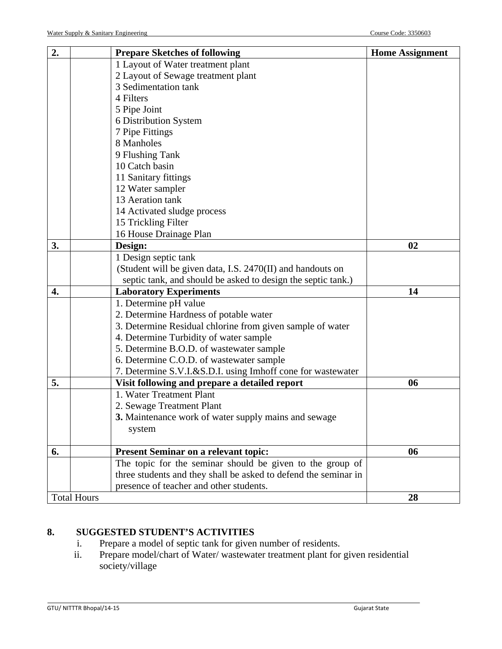| 2.                 | <b>Prepare Sketches of following</b>                            | <b>Home Assignment</b> |
|--------------------|-----------------------------------------------------------------|------------------------|
|                    | 1 Layout of Water treatment plant                               |                        |
|                    | 2 Layout of Sewage treatment plant                              |                        |
|                    | 3 Sedimentation tank                                            |                        |
|                    | 4 Filters                                                       |                        |
|                    | 5 Pipe Joint                                                    |                        |
|                    | 6 Distribution System                                           |                        |
|                    | 7 Pipe Fittings                                                 |                        |
|                    | 8 Manholes                                                      |                        |
|                    | 9 Flushing Tank                                                 |                        |
|                    | 10 Catch basin                                                  |                        |
|                    | 11 Sanitary fittings                                            |                        |
|                    | 12 Water sampler                                                |                        |
|                    | 13 Aeration tank                                                |                        |
|                    | 14 Activated sludge process                                     |                        |
|                    | 15 Trickling Filter                                             |                        |
|                    | 16 House Drainage Plan                                          |                        |
| 3.                 | Design:                                                         | 02                     |
|                    | 1 Design septic tank                                            |                        |
|                    | (Student will be given data, I.S. 2470(II) and handouts on      |                        |
|                    | septic tank, and should be asked to design the septic tank.)    |                        |
| 4.                 | <b>Laboratory Experiments</b>                                   | 14                     |
|                    | 1. Determine pH value                                           |                        |
|                    | 2. Determine Hardness of potable water                          |                        |
|                    | 3. Determine Residual chlorine from given sample of water       |                        |
|                    | 4. Determine Turbidity of water sample                          |                        |
|                    | 5. Determine B.O.D. of wastewater sample                        |                        |
|                    | 6. Determine C.O.D. of wastewater sample                        |                        |
|                    | 7. Determine S.V.I.&S.D.I. using Imhoff cone for wastewater     |                        |
| 5.                 | Visit following and prepare a detailed report                   | 06                     |
|                    | 1. Water Treatment Plant                                        |                        |
|                    | 2. Sewage Treatment Plant                                       |                        |
|                    | 3. Maintenance work of water supply mains and sewage            |                        |
|                    | system                                                          |                        |
|                    |                                                                 |                        |
| 6.                 | <b>Present Seminar on a relevant topic:</b>                     | 06                     |
|                    | The topic for the seminar should be given to the group of       |                        |
|                    | three students and they shall be asked to defend the seminar in |                        |
|                    | presence of teacher and other students.                         |                        |
| <b>Total Hours</b> |                                                                 | 28                     |

# **8. SUGGESTED STUDENT'S ACTIVITIES**

- i. Prepare a model of septic tank for given number of residents.
- ii. Prepare model/chart of Water/ wastewater treatment plant for given residential society/village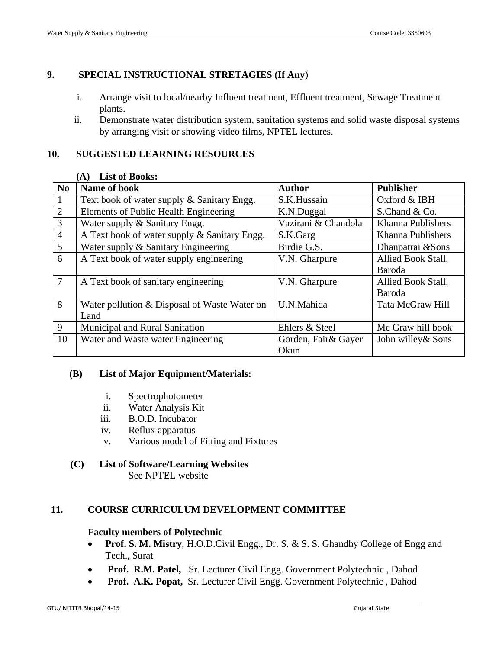### **9. SPECIAL INSTRUCTIONAL STRETAGIES (If Any**)

- i. Arrange visit to local/nearby Influent treatment, Effluent treatment, Sewage Treatment plants.
- ii. Demonstrate water distribution system, sanitation systems and solid waste disposal systems by arranging visit or showing video films, NPTEL lectures.

### **10. SUGGESTED LEARNING RESOURCES**

| N <sub>0</sub> | Name of book                                 | <b>Author</b>        | <b>Publisher</b>   |
|----------------|----------------------------------------------|----------------------|--------------------|
| 1              | Text book of water supply & Sanitary Engg.   | S.K.Hussain          | Oxford & IBH       |
| $\overline{2}$ | Elements of Public Health Engineering        | K.N.Duggal           | S.Chand & Co.      |
| 3              | Water supply & Sanitary Engg.                | Vazirani & Chandola  | Khanna Publishers  |
| $\overline{4}$ | A Text book of water supply & Sanitary Engg. | S.K.Garg             | Khanna Publishers  |
| 5              | Water supply & Sanitary Engineering          | Birdie G.S.          | Dhanpatrai & Sons  |
| 6              | A Text book of water supply engineering      | V.N. Gharpure        | Allied Book Stall, |
|                |                                              |                      | Baroda             |
| $\overline{7}$ | A Text book of sanitary engineering          | V.N. Gharpure        | Allied Book Stall, |
|                |                                              |                      | Baroda             |
| 8              | Water pollution & Disposal of Waste Water on | U.N.Mahida           | Tata McGraw Hill   |
|                | Land                                         |                      |                    |
| 9              | Municipal and Rural Sanitation               | Ehlers & Steel       | Mc Graw hill book  |
| 10             | Water and Waste water Engineering            | Gorden, Fair & Gayer | John willey & Sons |
|                |                                              | Okun                 |                    |

### **(A) List of Books:**

### **(B) List of Major Equipment/Materials:**

- i. Spectrophotometer
- ii. Water Analysis Kit
- iii. B.O.D. Incubator
- iv. Reflux apparatus
- v. Various model of Fitting and Fixtures

### **(C) List of Software/Learning Websites**

See NPTEL website

### **11. COURSE CURRICULUM DEVELOPMENT COMMITTEE**

#### **Faculty members of Polytechnic**

- **Prof. S. M. Mistry**, H.O.D.Civil Engg., Dr. S. & S. S. Ghandhy College of Engg and Tech., Surat
- • **Prof. R.M. Patel,** Sr. Lecturer Civil Engg. Government Polytechnic , Dahod
- • **Prof. A.K. Popat,** Sr. Lecturer Civil Engg. Government Polytechnic , Dahod